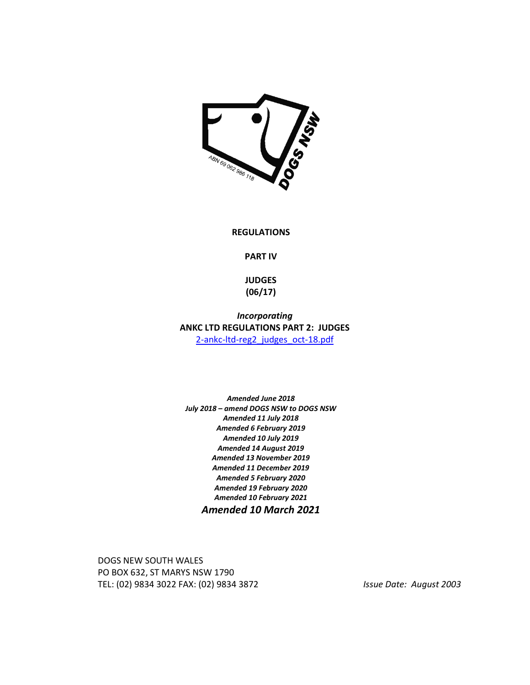

#### **REGULATIONS**

**PART IV** 

**JUDGES (06/17)** 

*Incorporating*  **ANKC LTD REGULATIONS PART 2: JUDGES**  2-ankc-ltd-reg2\_judges\_oct-18.pdf

*Amended June 2018 July 2018 – amend DOGS NSW to DOGS NSW Amended 11 July 2018 Amended 6 February 2019 Amended 10 July 2019 Amended 14 August 2019 Amended 13 November 2019 Amended 11 December 2019 Amended 5 February 2020 Amended 19 February 2020 Amended 10 February 2021 Amended 10 March 2021* 

DOGS NEW SOUTH WALES PO BOX 632, ST MARYS NSW 1790 TEL: (02) 9834 3022 FAX: (02) 9834 3872 *Issue Date: August 2003*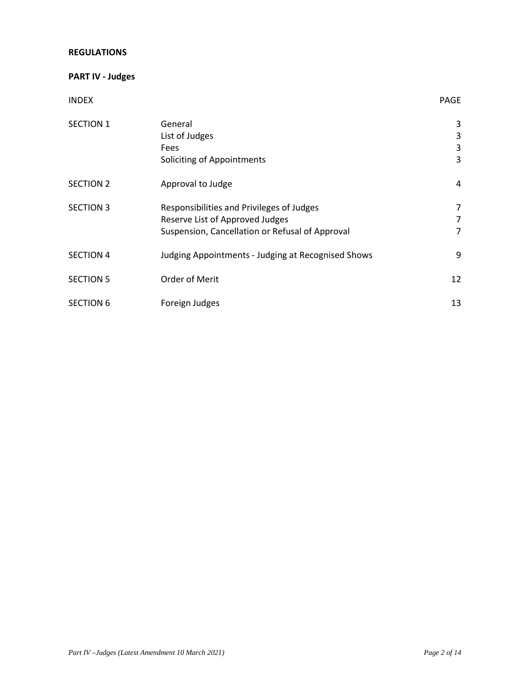### **REGULATIONS**

# **PART IV - Judges**

# INDEX PAGE

| <b>SECTION 1</b> | General                                            | 3              |
|------------------|----------------------------------------------------|----------------|
|                  | List of Judges                                     | 3              |
|                  | Fees                                               | 3              |
|                  | Soliciting of Appointments                         | 3              |
| <b>SECTION 2</b> | Approval to Judge                                  | 4              |
| <b>SECTION 3</b> | Responsibilities and Privileges of Judges          | 7              |
|                  | Reserve List of Approved Judges                    | $\overline{7}$ |
|                  | Suspension, Cancellation or Refusal of Approval    | 7              |
| <b>SECTION 4</b> | Judging Appointments - Judging at Recognised Shows | 9              |
| <b>SECTION 5</b> | Order of Merit                                     | 12             |
| <b>SECTION 6</b> | Foreign Judges                                     | 13             |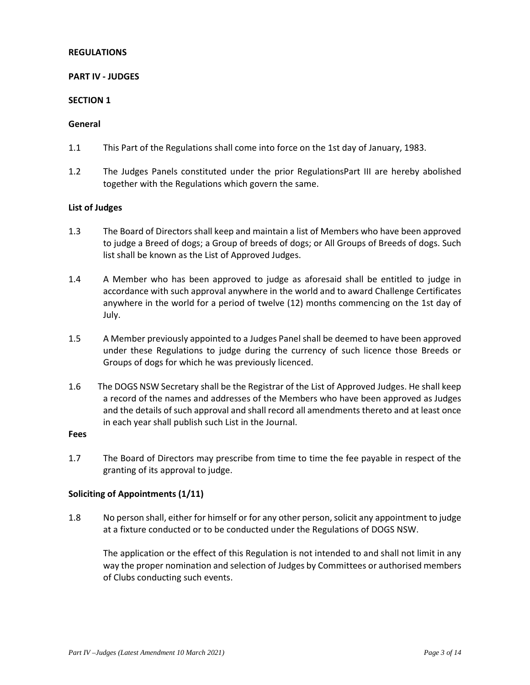### **REGULATIONS**

### **PART IV - JUDGES**

#### **SECTION 1**

#### **General**

- 1.1 This Part of the Regulations shall come into force on the 1st day of January, 1983.
- 1.2 The Judges Panels constituted under the prior RegulationsPart III are hereby abolished together with the Regulations which govern the same.

### **List of Judges**

- 1.3 The Board of Directors shall keep and maintain a list of Members who have been approved to judge a Breed of dogs; a Group of breeds of dogs; or All Groups of Breeds of dogs. Such list shall be known as the List of Approved Judges.
- 1.4 A Member who has been approved to judge as aforesaid shall be entitled to judge in accordance with such approval anywhere in the world and to award Challenge Certificates anywhere in the world for a period of twelve (12) months commencing on the 1st day of July.
- 1.5 A Member previously appointed to a Judges Panel shall be deemed to have been approved under these Regulations to judge during the currency of such licence those Breeds or Groups of dogs for which he was previously licenced.
- 1.6 The DOGS NSW Secretary shall be the Registrar of the List of Approved Judges. He shall keep a record of the names and addresses of the Members who have been approved as Judges and the details of such approval and shall record all amendments thereto and at least once in each year shall publish such List in the Journal.

### **Fees**

1.7 The Board of Directors may prescribe from time to time the fee payable in respect of the granting of its approval to judge.

#### **Soliciting of Appointments (1/11)**

1.8 No person shall, either for himself or for any other person, solicit any appointment to judge at a fixture conducted or to be conducted under the Regulations of DOGS NSW.

The application or the effect of this Regulation is not intended to and shall not limit in any way the proper nomination and selection of Judges by Committees or authorised members of Clubs conducting such events.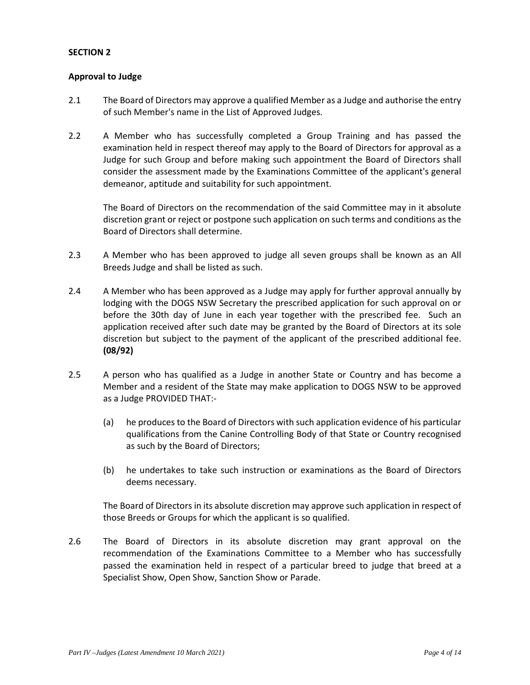### **Approval to Judge**

- 2.1 The Board of Directors may approve a qualified Member as a Judge and authorise the entry of such Member's name in the List of Approved Judges.
- 2.2 A Member who has successfully completed a Group Training and has passed the examination held in respect thereof may apply to the Board of Directors for approval as a Judge for such Group and before making such appointment the Board of Directors shall consider the assessment made by the Examinations Committee of the applicant's general demeanor, aptitude and suitability for such appointment.

The Board of Directors on the recommendation of the said Committee may in it absolute discretion grant or reject or postpone such application on such terms and conditions as the Board of Directors shall determine.

- 2.3 A Member who has been approved to judge all seven groups shall be known as an All Breeds Judge and shall be listed as such.
- 2.4 A Member who has been approved as a Judge may apply for further approval annually by lodging with the DOGS NSW Secretary the prescribed application for such approval on or before the 30th day of June in each year together with the prescribed fee. Such an application received after such date may be granted by the Board of Directors at its sole discretion but subject to the payment of the applicant of the prescribed additional fee. **(08/92)**
- 2.5 A person who has qualified as a Judge in another State or Country and has become a Member and a resident of the State may make application to DOGS NSW to be approved as a Judge PROVIDED THAT:-
	- (a) he produces to the Board of Directors with such application evidence of his particular qualifications from the Canine Controlling Body of that State or Country recognised as such by the Board of Directors;
	- (b) he undertakes to take such instruction or examinations as the Board of Directors deems necessary.

The Board of Directors in its absolute discretion may approve such application in respect of those Breeds or Groups for which the applicant is so qualified.

2.6 The Board of Directors in its absolute discretion may grant approval on the recommendation of the Examinations Committee to a Member who has successfully passed the examination held in respect of a particular breed to judge that breed at a Specialist Show, Open Show, Sanction Show or Parade.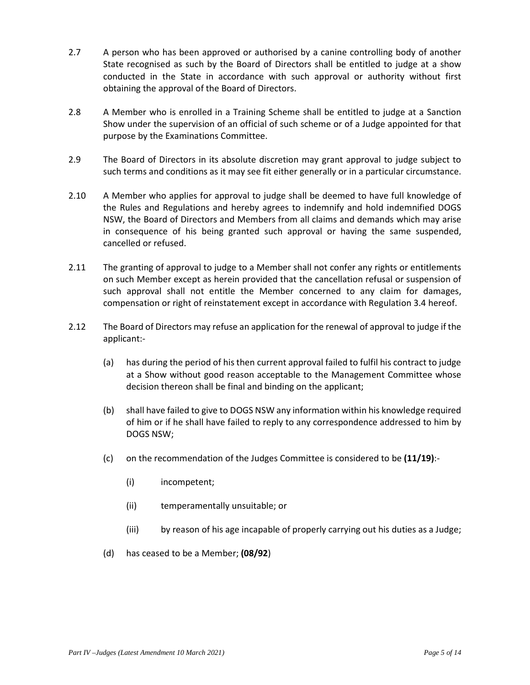- 2.7 A person who has been approved or authorised by a canine controlling body of another State recognised as such by the Board of Directors shall be entitled to judge at a show conducted in the State in accordance with such approval or authority without first obtaining the approval of the Board of Directors.
- 2.8 A Member who is enrolled in a Training Scheme shall be entitled to judge at a Sanction Show under the supervision of an official of such scheme or of a Judge appointed for that purpose by the Examinations Committee.
- 2.9 The Board of Directors in its absolute discretion may grant approval to judge subject to such terms and conditions as it may see fit either generally or in a particular circumstance.
- 2.10 A Member who applies for approval to judge shall be deemed to have full knowledge of the Rules and Regulations and hereby agrees to indemnify and hold indemnified DOGS NSW, the Board of Directors and Members from all claims and demands which may arise in consequence of his being granted such approval or having the same suspended, cancelled or refused.
- 2.11 The granting of approval to judge to a Member shall not confer any rights or entitlements on such Member except as herein provided that the cancellation refusal or suspension of such approval shall not entitle the Member concerned to any claim for damages, compensation or right of reinstatement except in accordance with Regulation 3.4 hereof.
- 2.12 The Board of Directors may refuse an application for the renewal of approval to judge if the applicant:-
	- (a) has during the period of his then current approval failed to fulfil his contract to judge at a Show without good reason acceptable to the Management Committee whose decision thereon shall be final and binding on the applicant;
	- (b) shall have failed to give to DOGS NSW any information within his knowledge required of him or if he shall have failed to reply to any correspondence addressed to him by DOGS NSW;
	- (c) on the recommendation of the Judges Committee is considered to be **(11/19)**:-
		- (i) incompetent;
		- (ii) temperamentally unsuitable; or
		- (iii) by reason of his age incapable of properly carrying out his duties as a Judge;
	- (d) has ceased to be a Member; **(08/92**)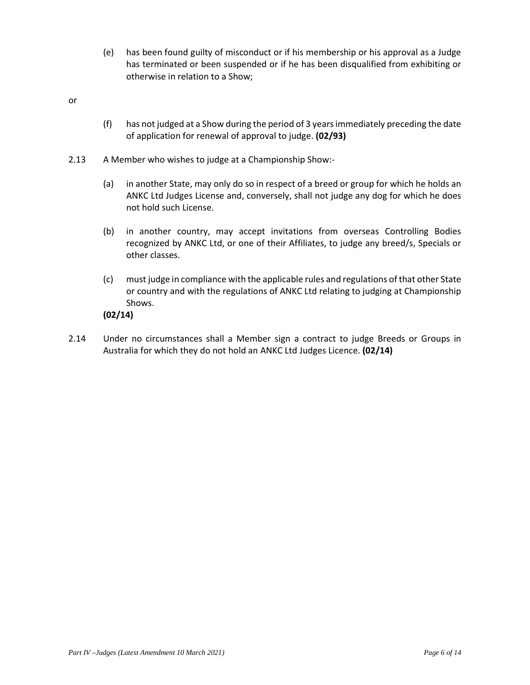(e) has been found guilty of misconduct or if his membership or his approval as a Judge has terminated or been suspended or if he has been disqualified from exhibiting or otherwise in relation to a Show;

or

- (f) has not judged at a Show during the period of 3 years immediately preceding the date of application for renewal of approval to judge. **(02/93)**
- 2.13 A Member who wishes to judge at a Championship Show:-
	- (a) in another State, may only do so in respect of a breed or group for which he holds an ANKC Ltd Judges License and, conversely, shall not judge any dog for which he does not hold such License.
	- (b) in another country, may accept invitations from overseas Controlling Bodies recognized by ANKC Ltd, or one of their Affiliates, to judge any breed/s, Specials or other classes.
	- (c) must judge in compliance with the applicable rules and regulations of that other State or country and with the regulations of ANKC Ltd relating to judging at Championship Shows.

**(02/14)** 

2.14 Under no circumstances shall a Member sign a contract to judge Breeds or Groups in Australia for which they do not hold an ANKC Ltd Judges Licence. **(02/14)**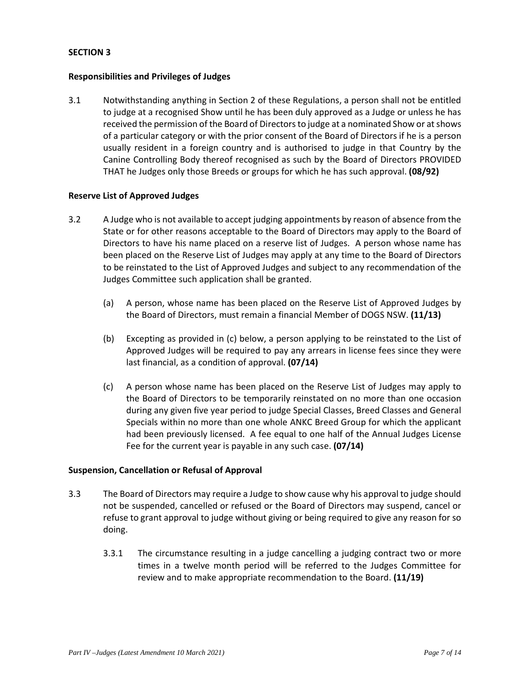#### **Responsibilities and Privileges of Judges**

3.1 Notwithstanding anything in Section 2 of these Regulations, a person shall not be entitled to judge at a recognised Show until he has been duly approved as a Judge or unless he has received the permission of the Board of Directors to judge at a nominated Show or at shows of a particular category or with the prior consent of the Board of Directors if he is a person usually resident in a foreign country and is authorised to judge in that Country by the Canine Controlling Body thereof recognised as such by the Board of Directors PROVIDED THAT he Judges only those Breeds or groups for which he has such approval. **(08/92)** 

### **Reserve List of Approved Judges**

- 3.2 A Judge who is not available to accept judging appointments by reason of absence from the State or for other reasons acceptable to the Board of Directors may apply to the Board of Directors to have his name placed on a reserve list of Judges. A person whose name has been placed on the Reserve List of Judges may apply at any time to the Board of Directors to be reinstated to the List of Approved Judges and subject to any recommendation of the Judges Committee such application shall be granted.
	- (a) A person, whose name has been placed on the Reserve List of Approved Judges by the Board of Directors, must remain a financial Member of DOGS NSW. **(11/13)**
	- (b) Excepting as provided in (c) below, a person applying to be reinstated to the List of Approved Judges will be required to pay any arrears in license fees since they were last financial, as a condition of approval. **(07/14)**
	- (c) A person whose name has been placed on the Reserve List of Judges may apply to the Board of Directors to be temporarily reinstated on no more than one occasion during any given five year period to judge Special Classes, Breed Classes and General Specials within no more than one whole ANKC Breed Group for which the applicant had been previously licensed. A fee equal to one half of the Annual Judges License Fee for the current year is payable in any such case. **(07/14)**

#### **Suspension, Cancellation or Refusal of Approval**

- 3.3 The Board of Directors may require a Judge to show cause why his approval to judge should not be suspended, cancelled or refused or the Board of Directors may suspend, cancel or refuse to grant approval to judge without giving or being required to give any reason for so doing.
	- 3.3.1 The circumstance resulting in a judge cancelling a judging contract two or more times in a twelve month period will be referred to the Judges Committee for review and to make appropriate recommendation to the Board. **(11/19)**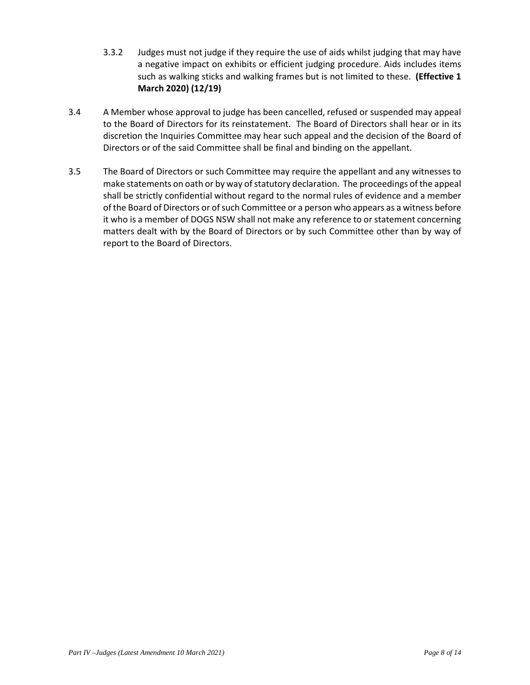- 3.3.2 Judges must not judge if they require the use of aids whilst judging that may have a negative impact on exhibits or efficient judging procedure. Aids includes items such as walking sticks and walking frames but is not limited to these. **(Effective 1 March 2020) (12/19)**
- 3.4 A Member whose approval to judge has been cancelled, refused or suspended may appeal to the Board of Directors for its reinstatement. The Board of Directors shall hear or in its discretion the Inquiries Committee may hear such appeal and the decision of the Board of Directors or of the said Committee shall be final and binding on the appellant.
- 3.5 The Board of Directors or such Committee may require the appellant and any witnesses to make statements on oath or by way of statutory declaration. The proceedings of the appeal shall be strictly confidential without regard to the normal rules of evidence and a member of the Board of Directors or of such Committee or a person who appears as a witness before it who is a member of DOGS NSW shall not make any reference to or statement concerning matters dealt with by the Board of Directors or by such Committee other than by way of report to the Board of Directors.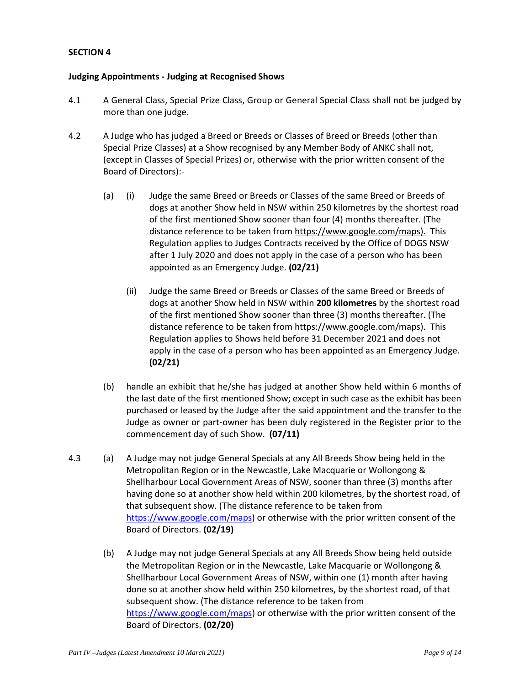### **Judging Appointments - Judging at Recognised Shows**

- 4.1 A General Class, Special Prize Class, Group or General Special Class shall not be judged by more than one judge.
- 4.2 A Judge who has judged a Breed or Breeds or Classes of Breed or Breeds (other than Special Prize Classes) at a Show recognised by any Member Body of ANKC shall not, (except in Classes of Special Prizes) or, otherwise with the prior written consent of the Board of Directors):-
	- (a) (i) Judge the same Breed or Breeds or Classes of the same Breed or Breeds of dogs at another Show held in NSW within 250 kilometres by the shortest road of the first mentioned Show sooner than four (4) months thereafter. (The distance reference to be taken from https://www.google.com/maps). This Regulation applies to Judges Contracts received by the Office of DOGS NSW after 1 July 2020 and does not apply in the case of a person who has been appointed as an Emergency Judge. **(02/21)** 
		- (ii) Judge the same Breed or Breeds or Classes of the same Breed or Breeds of dogs at another Show held in NSW within **200 kilometres** by the shortest road of the first mentioned Show sooner than three (3) months thereafter. (The distance reference to be taken from https://www.google.com/maps). This Regulation applies to Shows held before 31 December 2021 and does not apply in the case of a person who has been appointed as an Emergency Judge. **(02/21)**
	- (b) handle an exhibit that he/she has judged at another Show held within 6 months of the last date of the first mentioned Show; except in such case as the exhibit has been purchased or leased by the Judge after the said appointment and the transfer to the Judge as owner or part-owner has been duly registered in the Register prior to the commencement day of such Show. **(07/11)**
- 4.3 (a) A Judge may not judge General Specials at any All Breeds Show being held in the Metropolitan Region or in the Newcastle, Lake Macquarie or Wollongong & Shellharbour Local Government Areas of NSW, sooner than three (3) months after having done so at another show held within 200 kilometres, by the shortest road, of that subsequent show. (The distance reference to be taken from https://www.google.com/maps) or otherwise with the prior written consent of the Board of Directors. **(02/19)** 
	- (b) A Judge may not judge General Specials at any All Breeds Show being held outside the Metropolitan Region or in the Newcastle, Lake Macquarie or Wollongong & Shellharbour Local Government Areas of NSW, within one (1) month after having done so at another show held within 250 kilometres, by the shortest road, of that subsequent show. (The distance reference to be taken from https://www.google.com/maps) or otherwise with the prior written consent of the Board of Directors. **(02/20)**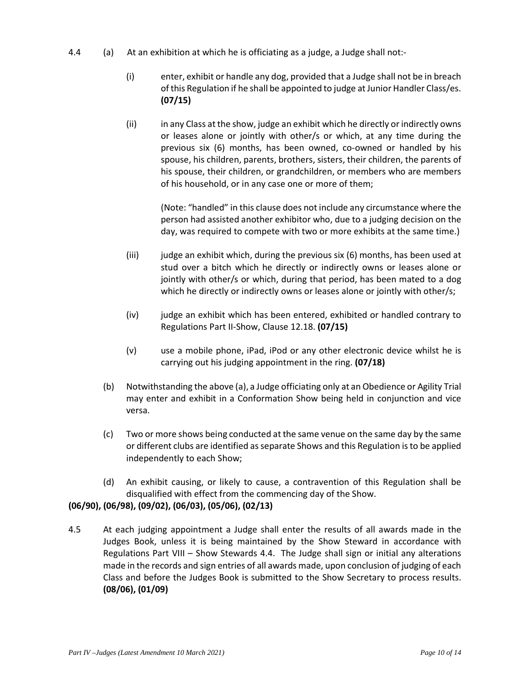- 4.4 (a) At an exhibition at which he is officiating as a judge, a Judge shall not:-
	- (i) enter, exhibit or handle any dog, provided that a Judge shall not be in breach of this Regulation if he shall be appointed to judge at Junior Handler Class/es. **(07/15)**
	- (ii) in any Class at the show, judge an exhibit which he directly or indirectly owns or leases alone or jointly with other/s or which, at any time during the previous six (6) months, has been owned, co-owned or handled by his spouse, his children, parents, brothers, sisters, their children, the parents of his spouse, their children, or grandchildren, or members who are members of his household, or in any case one or more of them;

(Note: "handled" in this clause does not include any circumstance where the person had assisted another exhibitor who, due to a judging decision on the day, was required to compete with two or more exhibits at the same time.)

- $(iii)$  judge an exhibit which, during the previous six  $(6)$  months, has been used at stud over a bitch which he directly or indirectly owns or leases alone or jointly with other/s or which, during that period, has been mated to a dog which he directly or indirectly owns or leases alone or jointly with other/s;
- (iv) judge an exhibit which has been entered, exhibited or handled contrary to Regulations Part II-Show, Clause 12.18. **(07/15)**
- (v) use a mobile phone, iPad, iPod or any other electronic device whilst he is carrying out his judging appointment in the ring. **(07/18)**
- (b) Notwithstanding the above (a), a Judge officiating only at an Obedience or Agility Trial may enter and exhibit in a Conformation Show being held in conjunction and vice versa.
- (c) Two or more shows being conducted at the same venue on the same day by the same or different clubs are identified as separate Shows and this Regulation is to be applied independently to each Show;
- (d) An exhibit causing, or likely to cause, a contravention of this Regulation shall be disqualified with effect from the commencing day of the Show.

# **(06/90), (06/98), (09/02), (06/03), (05/06), (02/13)**

4.5 At each judging appointment a Judge shall enter the results of all awards made in the Judges Book, unless it is being maintained by the Show Steward in accordance with Regulations Part VIII – Show Stewards 4.4. The Judge shall sign or initial any alterations made in the records and sign entries of all awards made, upon conclusion of judging of each Class and before the Judges Book is submitted to the Show Secretary to process results. **(08/06), (01/09)**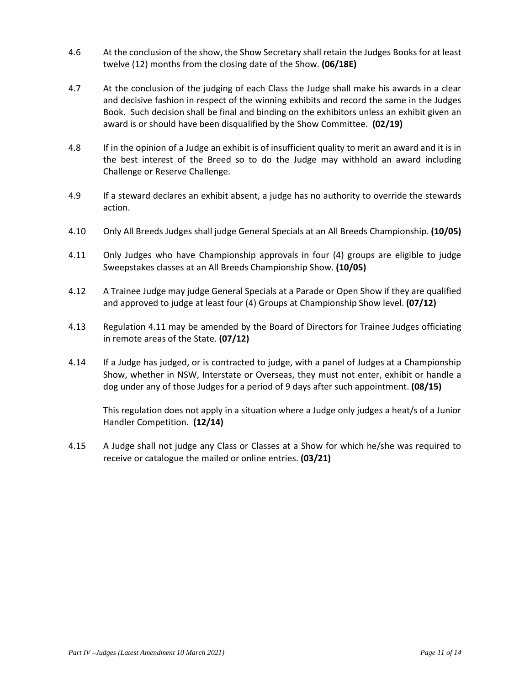- 4.6 At the conclusion of the show, the Show Secretary shall retain the Judges Books for at least twelve (12) months from the closing date of the Show. **(06/18E)**
- 4.7 At the conclusion of the judging of each Class the Judge shall make his awards in a clear and decisive fashion in respect of the winning exhibits and record the same in the Judges Book. Such decision shall be final and binding on the exhibitors unless an exhibit given an award is or should have been disqualified by the Show Committee. **(02/19)**
- 4.8 If in the opinion of a Judge an exhibit is of insufficient quality to merit an award and it is in the best interest of the Breed so to do the Judge may withhold an award including Challenge or Reserve Challenge.
- 4.9 If a steward declares an exhibit absent, a judge has no authority to override the stewards action.
- 4.10 Only All Breeds Judges shall judge General Specials at an All Breeds Championship. **(10/05)**
- 4.11 Only Judges who have Championship approvals in four (4) groups are eligible to judge Sweepstakes classes at an All Breeds Championship Show. **(10/05)**
- 4.12 A Trainee Judge may judge General Specials at a Parade or Open Show if they are qualified and approved to judge at least four (4) Groups at Championship Show level. **(07/12)**
- 4.13 Regulation 4.11 may be amended by the Board of Directors for Trainee Judges officiating in remote areas of the State. **(07/12)**
- 4.14 If a Judge has judged, or is contracted to judge, with a panel of Judges at a Championship Show, whether in NSW, Interstate or Overseas, they must not enter, exhibit or handle a dog under any of those Judges for a period of 9 days after such appointment. **(08/15)**

This regulation does not apply in a situation where a Judge only judges a heat/s of a Junior Handler Competition. **(12/14)**

4.15 A Judge shall not judge any Class or Classes at a Show for which he/she was required to receive or catalogue the mailed or online entries. **(03/21)**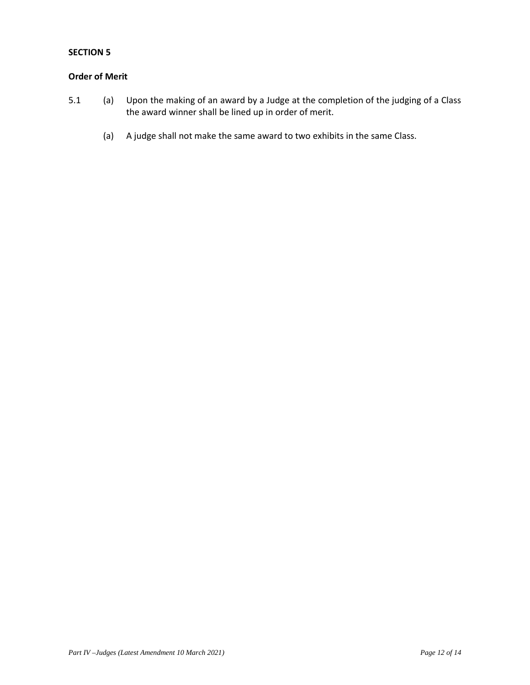## **Order of Merit**

- 5.1 (a) Upon the making of an award by a Judge at the completion of the judging of a Class the award winner shall be lined up in order of merit.
	- (a) A judge shall not make the same award to two exhibits in the same Class.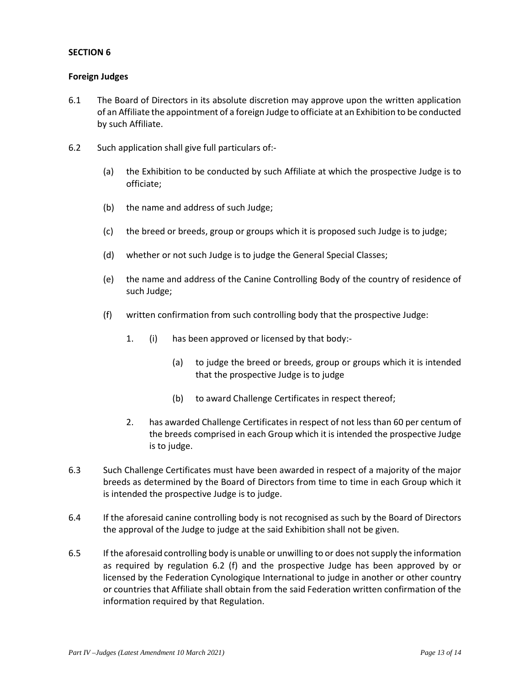## **Foreign Judges**

- 6.1 The Board of Directors in its absolute discretion may approve upon the written application of an Affiliate the appointment of a foreign Judge to officiate at an Exhibition to be conducted by such Affiliate.
- 6.2 Such application shall give full particulars of:-
	- (a) the Exhibition to be conducted by such Affiliate at which the prospective Judge is to officiate;
	- (b) the name and address of such Judge;
	- (c) the breed or breeds, group or groups which it is proposed such Judge is to judge;
	- (d) whether or not such Judge is to judge the General Special Classes;
	- (e) the name and address of the Canine Controlling Body of the country of residence of such Judge;
	- (f) written confirmation from such controlling body that the prospective Judge:
		- 1. (i) has been approved or licensed by that body:-
			- (a) to judge the breed or breeds, group or groups which it is intended that the prospective Judge is to judge
			- (b) to award Challenge Certificates in respect thereof;
		- 2. has awarded Challenge Certificates in respect of not less than 60 per centum of the breeds comprised in each Group which it is intended the prospective Judge is to judge.
- 6.3 Such Challenge Certificates must have been awarded in respect of a majority of the major breeds as determined by the Board of Directors from time to time in each Group which it is intended the prospective Judge is to judge.
- 6.4 If the aforesaid canine controlling body is not recognised as such by the Board of Directors the approval of the Judge to judge at the said Exhibition shall not be given.
- 6.5 If the aforesaid controlling body is unable or unwilling to or does not supply the information as required by regulation 6.2 (f) and the prospective Judge has been approved by or licensed by the Federation Cynologique International to judge in another or other country or countries that Affiliate shall obtain from the said Federation written confirmation of the information required by that Regulation.